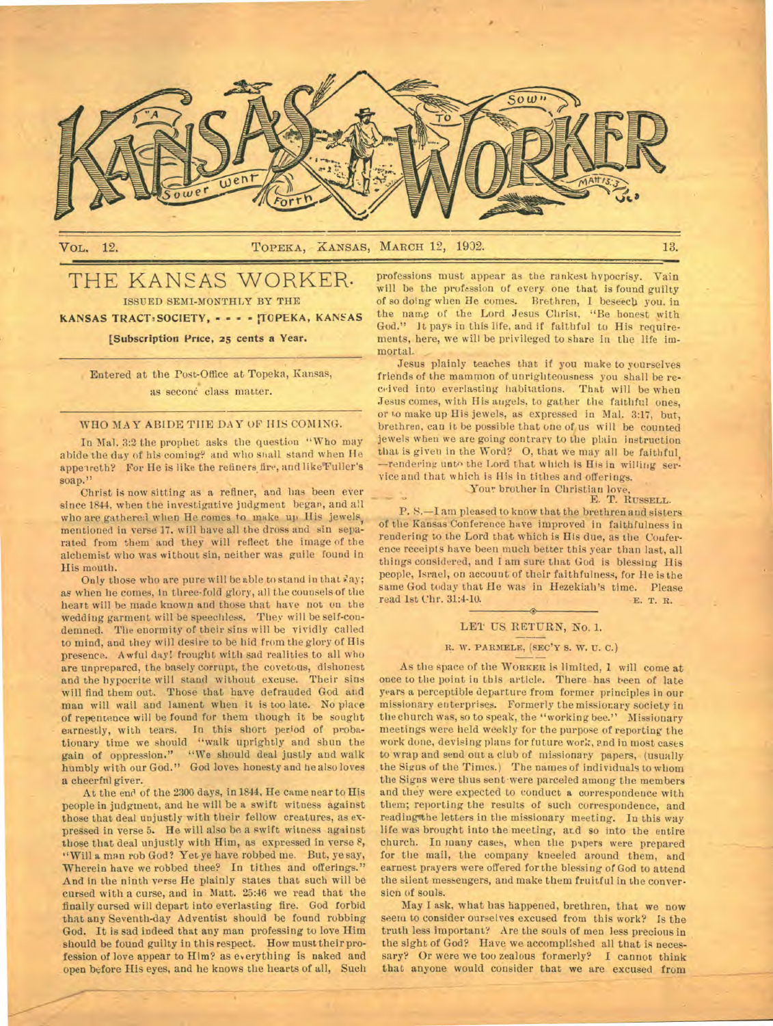

## VOL. 12. TOPEKA, KANSAS, MARCH 12, 1902. 13.

## THE KANSAS WORKER. ISSUED SEMI-MONTHLY BY THE

KANSAS TRACTaSOCIETY, - - - - !TOPEKA, **KANSAS** 

## **[Subscription Price, 25 cents a Year.**

Entered **at** the Post-Office at Topeka, Kansas, as second class matter.

## WHO MAY ABIDE TIIE DAY OF HIS COMING.

In Mal. 3:2 the prophet asks the question "Who may abide the day of his coming? and who shall stand when He appeireth? For He is like the refiners fire, and like Fuller's soap."

Christ is now sitting as a refiner, and has been ever since 1844, when the investigative judgment began, and all who are gathere.1 when He comes to make up His jewels, mentioned in verse 17. will have all the dross and sin separated from them and they will reflect the image of the alchemist who was without sin, neither was guile found **in**  His mouth.

Only those who are pure will be able to stand in that day; as when he comes, in three-fold glory, all the counsels of the heart will be made known and those that have not on the wedding garment will be speechless. They will be self-condemned. The enormity of their sins will be vividly called to mind, and they will desire to be hid from the glory of His presence. Awful day! frought with sad realities to all who are unprepared, the basely corrupt, the covetous, dishonest and the hypocrite will stand without excuse. Their sins will find them out. Those that have defrauded God and man will wail and lament when it is too late. No place of repentance will be found for them though it be sought earnestly, with tears. In this short period of probationary time we should "walk uprightly and shun the gain of oppression." "We should deal justly and walk humbly with our God." God loves honesty and be also loves **a** cheerful giver.

At the end of the 2300 days, in 1844, He came near to His people in judgment, and he will be a swift witness against those that deal unjustly with their fellow creatures, as expressed in verse 5. He will also be a swift witness against those that deal unjustly with Him, as expressed in verse 8, "Will a man rob God? Yet ye have robbed me. But, ye say, Wherein have we robbed thee? In tithes and offerings." And in the ninth verse He plainly states that such will be cursed with a curse, and in Matt. 25:46 we read that the finally cursed will depart into everlasting fire. God forbid that any Seventh-day Adventist should be found robbing God. It is sad indeed that any man professing to love Him should be found guilty in this respect. How must their profession of love appear to Him? as everything is naked and open before His eyes, and he knows the hearts of all, Such

professions must appear as the rankest hypocrisy. Vain will be the profession of every one that is found guilty of so doing when He comes. Brethren, I beseech you, in the name of the Lord Jesus Christ, "Be honest with God." **It** pays in this life, and if faithful to His requirements, here, we will be privileged to share in the life immortal. \_

Jesus plainly teaches that if you make to yourselves friends of the mammon of unrighteousness you shall be received into everlasting habitations. That will be when Jesus comes, with His angels, to gather the faithful ones, or to make up His jewels, as expressed in Mal. 3:17, but, brethren, can it be possible that one of us will be counted jewels when we are going contrary to the plain instruction that is given in the Word? 0, that we may all be faithful, —rendering unto the Lord that which is His in willing service and that which is **His** in tithes and offerings.

# Your brother in Christian love,<br>E. T. RUSSELL.

P. S.—I am pleased to know that the brethren and sisters of the Kansas Conference have improved in faithfulness in rendering to the Lord that which is His due, as the Conference receipts have been much better this year than last, all things considered, and I am sure that God is blessing His people, Israel, on account of their faithfulness, for Ile is the same God today that He was in Hezekiah's time. Please read 1st Chr. 31:4-10. The metal of the metal of the metal of the metal metal of the metal metal metal metal metal metal metal metal metal metal metal metal metal metal read 1st Chr. 31:4-10.

## **LET US RETURN, No. I.**

## **R. W. PARKELE, (SEC'Y S. W. U. C.)**

As the space of the **WORKER is** limited, **1** will come **at**  once to the point in this article. There has been of late years a perceptible departure from former principles in our missionary enterprises. Formerly the missionary society in the church was, so to speak, the "working bee." Missionary meetings were held weekly for the purpose of reporting the work done, devising plans for future work, and in most cases to wrap and send out a club of missionary papers, (usually the Signs of the Times.) The names of individuals to whom the Signs were thus sent were parceled among the members and they were expected to conduct a correspondence with them; reporting the results of such correspondence, and reading the letters in the missionary meeting. In this way life was brought into the meeting, and so into the entire church. In many cases, when the papers were prepared for the mail, the company kneeled around them, and earnest prayers were offered for the blessing of God to attend the silent messengers, and make them fruitful in the conversion of souls.

May I ask, what has happened, brethren, that we **now**  seem to consider ourselves excused from this work? Is the truth less important? Are the souls of men less precious in the sight of God? Have we accomplished all that is necessary? Or were we too zealous formerly? **I** cannot think that anyone would consider that we are excused from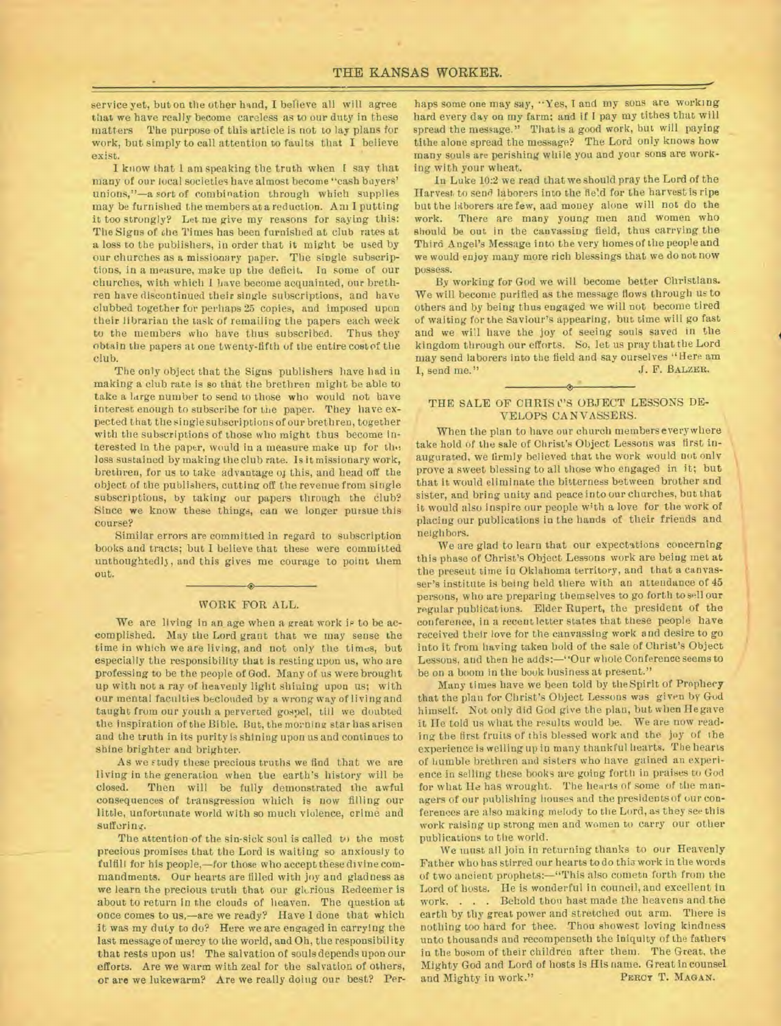service yet, but on the other hand, I believe all will agree that we have really become careless as to our duty in these matters The purpose of this article is not to lay plans for work, but simply to call attention to faults that I believe exist.

I know that 1 am speaking the truth when I say that many of our local societies have almost become "cash buyers' unions,"—a sort of combination through which supplies may be furnished the members at a reduction. Am I putting it too strongly? Let me give my reasons for saying this: The Signs of the Times has been furnished at club rates at a loss to the publishers, in order that it might be used by our churches as a missionary paper. The single subscriptions, in a measure, make up the deficit. In some of our churches, with which I have become acquainted, our brethren have discontinued their single subscriptions, and have clubbed together for perhaps 25 copies, and imposed upon their librarian the task of remailing the papers each week to the members who have thus subscribed. Thus they obtain the papers at one twenty-fifth of the entire cost of the club.

The only object that the Signs publishers have had in making a club rate is so that the brethren might be able to take a large number to send to those who would not have interest enough to subscribe for the paper. They have expected that the single subscriptions of our brethren, together with the subscriptions of those who might thus become interested in the paper, would in a measure make up for the loss sustained by making the club rate. Is it missionary work, brethren, for us to take advantage of this, and head off the object of the publishers, cutting off the revenue from single subscriptions, by taking our papers through the club? Since we know these things, can we longer pursue this course?

Similar errors are committed in regard to subscription books and tracts; but I believe that these were committed unthoughtedl3, and this gives me courage to point them out.

## $\bullet$ WORK FOR ALL.

We are living in an age when a great work is to be accomplished. May the Lord grant that we may sense the time in which we are living, and not only the times, but especially the responsibility that is resting upon us, who are professing to be the people of God. Many of us were brought up with not a ray of heavenly light shining upon us; with our mental faculties beclouded by a wrong way of living and taught from our youth a perverted gospel, till we doubted the inspiration of the Bible. But, the morning star has arisen and the truth in its purity is shining upon us and continues to shine brighter and brighter.

As we study these precious truths we find that we are living in the generation when the earth's history will be Then will be fully demonstrated the awful consequences of transgression which is now filling our little, unfortunate world with so much violence, crime and suffering.

The attention of the sin-sick soul is called to the most precious promises that the Lord is waiting so anxiously to fulfill for his people,—for those who accept these divine commandments. Our hearts are filled with joy and gladness as we learn the precious truth that our glurious Redeemer is about to return in the clouds of heaven. The question at once comes to us,—are we ready? Have I done that which it was my duty to do? Here we are engaged in carrying the last message of mercy to the world, and Oh, the responsibility that rests upon us! The salvation of souls depends uponour efforts. Are we warm with zeal for the salvation of others, or are we lukewarm? Are we really doing our best? Per-

haps some one may say, "Yes, I and my sons are working hard every day on my farm; and If I pay my tithes that will spread the message." That is a good work, but will paying tithe alone spread the message? The Lord only knows how many souls are perishing while you and your sons are working with your wheat.

In Luke 10:2 we read that we should pray the Lord of the Harvest to send laborers into the field for the harvest is ripe but the laborers are few, aad money alone will not do the work. There are many young men and women who should be out in the canvassing field, thus carrying the Third Angel's Message into the very homes of the people and we would enjoy many more rich blessings that we do not now possess.

By working for God we will become better Christians. We will become purified as the message flows through us to others and by being thus engaged we will not become tired of waiting for the Saviour's appearing, but time will go fast and we will have the joy of seeing souls saved in the kingdom through our efforts. So, let us pray that the Lord may send laborers into the field and say ourselves "Here am  $L$  send me." I, send me."

## THE SALE OF CHRIS C'S OBJECT LESSONS DE-VELOPS CANVASSERS.

When the plan to have our church members everywhere take hold of the sale of Christ's Object Lessons was first inaugurated, we firmly believed that the work would not only prove a sweet blessing to all those who engaged in it; but that it would eliminate the bitterness between brother and sister, and bring unity and peace into our churches, but that it would also inspire our people with a love for the work of placing our publications in the hands of their friends and neighbors.

We are glad to learn that our expectations concerning this phase of Christ's Object Lessons work are being met at the present time in Oklahoma territory, and that a canvasser's institute is being held there with an attendance of 45 persons, who are preparing themselves to go forth to sell our regular publications. Elder Rupert, the president of the conference, in a recent letter states that these people have received their love for the canvassing work and desire to go into it from having taken bold of the sale of Christ's Object Lessons, and then he adds:—"Our whole Conference seems to be on a boom in the book business at present."

Many times have we been told by the Spirit of Prophecy that the plan for Christ's Object Lessons was given by God himself. Not only did God give the plan, but when He gave it He told us what the results would be. We are now reading the first fruits of this blessed work and the joy of *the*  experience is welling up in many thankful hearts. The hearts of humble brethren and sisters who nave gained an experience in selling these books are going forth in praises to God for what He has wrought. The hearts of some of the managers of our publishing houses and the presidents of our conferences are also making melody to the Lord, as they see this work raising up strong men and women to carry our other publications to the world.

We must all join in returning thanks to our Heavenly Father who has stirred our hearts to do this work in the words of two ancient prophets:—"This also cometn forth from the Lord of hosts. He is wonderful in council, and excellent in work. . . . Behold thou hast made the heavens and the earth by thy great power and stretched out arm. There is nothing too hard for thee. Thou showest loving kindness unto thousands and recompenseth the iniquity of the fathers in the bosom of their children after them. The Great, the Mighty God and Lord of hosts is His name. Great in counsel and Mighty in work."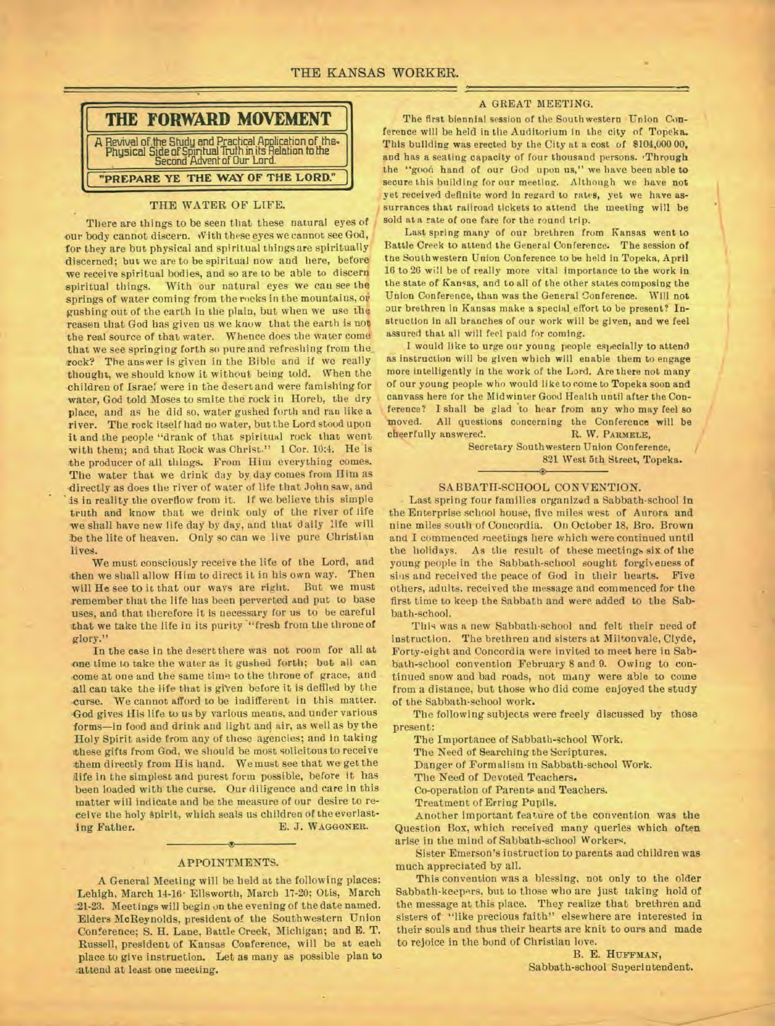

## THE WATER OF LIFE.

There are things to be seen that these natural eyes of our body cannot discern. With these eyes we cannot see God, for they are but physical and spiritual things are spiritually discerned; but we are to be spiritual now and here, before we receive spiritual bodies, and so are to be able to discern spiritual things. With our natural eyes we cau see the springs of water coming from the rocks in the mountains, or gushing out of the earth in the plain, but when we use the reason that God has given us we know that the earth is not, the real source of that water. Whence does the water come that we see springing forth so pure and refreshing from the\_ rock? The answer is given in the Bible and if we really thought, we should know it without being told. When the children of Israel were in the desert and were famishing for water, God told Moses to smite the rock in Horeb, the dry place, and as be did so, water gushed forth and ran like a river. The rock itself had no water, but the Lord stood upon it and the people "drank of that spiritual rock that went with them; and that Rock was Christ." 1 Cor. 10:4. He is the producer of all things. From Him everything comes. The water that we drink day by day comes from Him as directly as does the river of water of life that John saw, and is in reality the overflow from it. If we believe this simple truth and know that we drink only of the river of life we shall have new life day by day, and that daily life will be the lite of heaven. Only so can we live pure Christian lives.

We must consciously receive the life of the Lord, and then we shall allow Him to direct it in his own way. Then will He see to it that our ways are right. But we must remember that the life has been perverted and put to base uses, and that therefore it is necessary for us to be careful that we take the life in its purity "fresh from the throne of glory."

In the case in the desert there was not room for all at one time to take the water as it gushed forth; but all can come at one and the same time to the throne of grace, and all can take the life that is given before it is defiled by the .curse. We cannot afford to be indifferent in this matter. -God gives His life to us by various means, and under various forms—in food and drink and light and air, as well as by the Holy Spirit aside from any of these agencies; and in taking these gifts from God, we should be most solicitous to receive them directly from His hand. We must see that we get the life in the simplest and purest form possible, before it has been loaded with the curse. Our diligence and care in this matter will indicate and be the measure of our desire to receive the holy spirit, which seals us children of the everlasting Father. E. J. WAGGONER.

#### APPOINTMENTS.

A General Meeting will be held at the following places: Lehigh, March 14-16. Ellsworth, March 17-20; Otis, March 21-23. Meetings will begin on the evening of the date named. Elders McReynolds, president of the Southwestern Union Conference; S. H. Lane, Battle Creek, Michigan; and E. T. Russell, president of Kansas Conference, will be at each place to give instruction. Let as many as possible plan to -attend at least one meeting.

## A GREAT MEETING.

The first biennial session of the Southwestern Union Conference will be held in the Auditorium in the city of Topeka. This building was erected by the City at a cost of \$104,000 00, and has a seating capacity of four thousand persons. 'Through the "good hand of our God upon us," we have been able to secure this building for our meeting. Although we *have* not yet received definite word in regard to rates, yet we have assurrances that railroad tickets to attend the meeting will be sold at a rate of one fare for the round trip.

Last spring many of our brethren from Kansas went to Battle Creek to attend the General Conference. The session of the Southwestern Union Conference to be held in Topeka, April 16 to 26 will be of really more vital importance to the work in the state of Kansas, and to all of the other states composing the Union Conference, than was the General Conference. Will not our brethren in Kansas make a special effort to be present? Instruction in all branches of our work will be given, and we feel assured that all will feel paid for coming.

I would like to urge our young people especially to attend as instruction will be given which will enable them to engage more intelligently in the work of the Lord. Are there not many of our young people who would like to come to Topeka soon and canvass here for the Midwinter Good Health until after the Conference? I shall be glad to hear from any who may feel so moved. All questions concerning the Conference will be cheerfully answered. R. W. PARMELE. cheerfully answered.

> Secretary Southwestern Union Conference, 821 West 5th Street, Topeka. ۵

## SABBATH-SCHOOL CONVENTION.

Last spring four families organized a Sabbath-school in the Enterprise school house, five miles west of Aurora and nine miles south of Concordia. On October 18, Bro. Brown and I commenced meetings here which were continued until the holidays. As the result of these meetings six of the young people in the Sabbath-school sought forgiveness of sins and received the peace of God in their hearts. Five others, adults. received the message and commenced for the first time to keep the Sabbath and were added to the Sabbath-school.

This was a new Sabbath-school and felt their need of instruction. The brethren and sisters at Miltonvale, Clyde, Forty-eight and Concordia were invited to meet here in Sabbath-school convention February 8 and 9. Owing to continued snow and bad roads, not many were able to come from a distance, but those who did come enjoyed the study of the Sabbath-school work.

The following subjects were freely discussed by those present:

The Importance of Sabbath-school Work.

The Need of Searching the Scriptures.

Danger of Formalism in Sabbath-school Work.

The Need of Devoted Teachers.

Co-operation of Parents and Teachers.

Treatment of Erring Pupils.

Another important feature of the convention was the Question Box, which received many queries which often arise in the mind of Sabbath-school Workere.

Sister Emerson's instruction to parents and children was much appreciated by all.

This convention was a blessing, not only to the older Sabbath-keepers, but to those who are just taking hold of the message at this place. They realize that brethren and sisters of "like precious faith" elsewhere are interested in their souls and thus their hearts are knit to ours and made to rejoice in the bond of Christian love.

> B. E. HUFFMAN, Sabbath-school Superintendent.